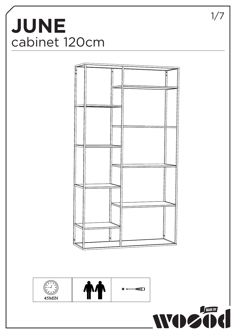## **JUNE** cabinet 120cm **JUNE**  $\begin{array}{c} \text{C} \text{C} \text{C} \text{C} \text{C} \end{array}$







1/7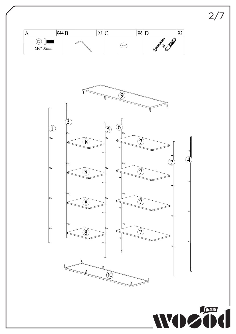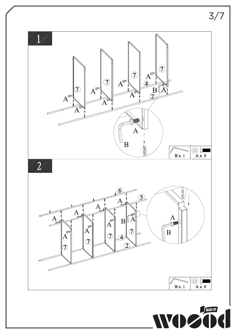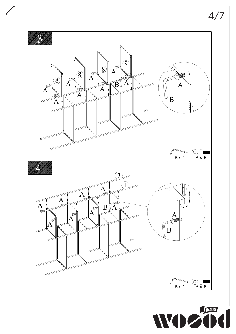

 $\overline{\phantom{a}}$ 

4/7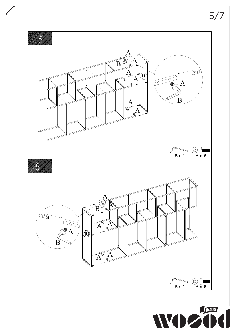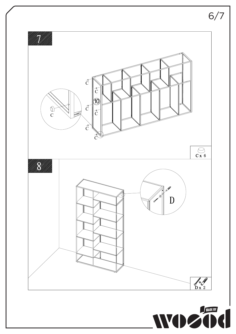

 $\overline{\phantom{0}}$